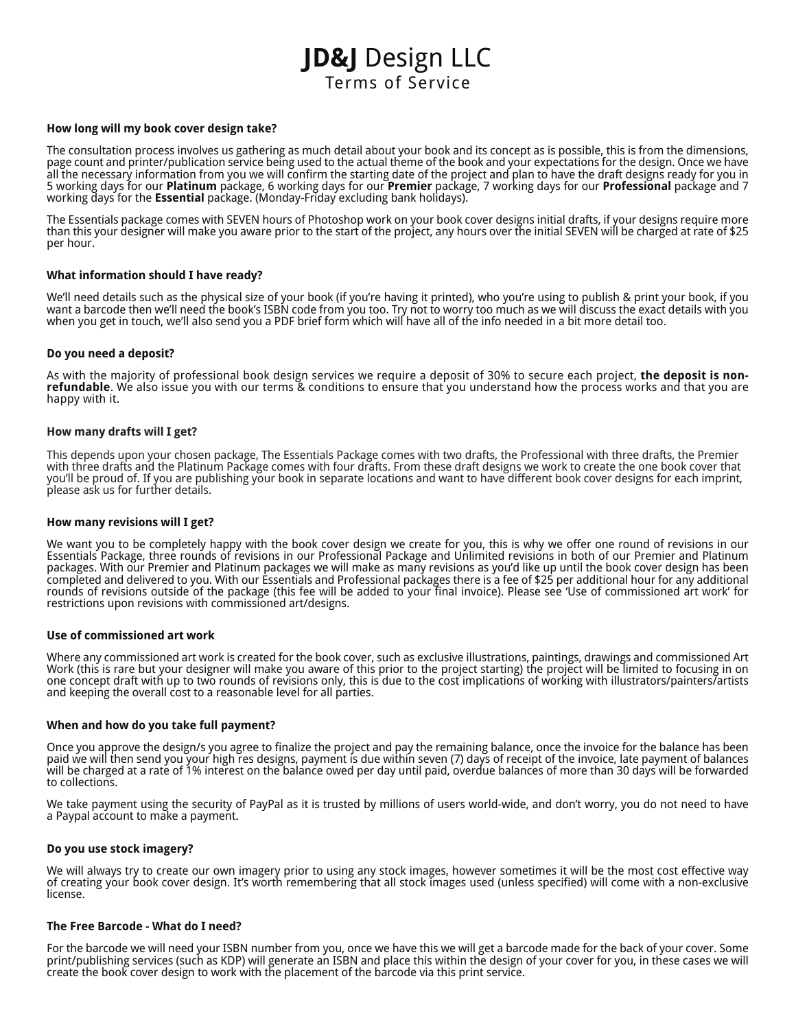# **JD&J** Design LLC Terms of Service

## **How long will my book cover design take?**

The consultation process involves us gathering as much detail about your book and its concept as is possible, this is from the dimensions, page count and printer/publication service being used to the actual theme of the book and your expectations for the design. Once we have all the necessary information from you we will confirm the starting date of the project and plan to have the draft designs ready for you in 5 working days for our **Platinum** package, 6 working days for our **Premier** package, 7 working days for our **Professional** package and 7 working days for the **Essential** package. (Monday-Friday excluding bank holidays).

The Essentials package comes with SEVEN hours of Photoshop work on your book cover designs initial drafts, if your designs require more than this your designer will make you aware prior to the start of the project, any hours over the initial SEVEN will be charged at rate of \$25 per hour.

## **What information should I have ready?**

We'll need details such as the physical size of your book (if you're having it printed), who you're using to publish & print your book, if you want a barcode then we'll need the book's ISBN code from you too. Try not to worry too much as we will discuss the exact details with you when you get in touch, we'll also send you a PDF brief form which will have all of the info needed in a bit more detail too.

#### **Do you need a deposit?**

As with the majority of professional book design services we require a deposit of 30% to secure each project, **the deposit is nonrefundable**. We also issue you with our terms & conditions to ensure that you understand how the process works and that you are happy with it.

#### **How many drafts will I get?**

This depends upon your chosen package, The Essentials Package comes with two drafts, the Professional with three drafts, the Premier with three drafts and the Platinum Package comes with four drafts. From these draft designs we work to create the one book cover that you'll be proud of. If you are publishing your book in separate locations and want to have different book cover designs for each imprint, please ask us for further details.

#### **How many revisions will I get?**

We want you to be completely happy with the book cover design we create for you, this is why we offer one round of revisions in our Essentials Package, three rounds of revisions in our Professional Package and Unlimited revisions in both of our Premier and Platinum packages. With our Premier and Platinum packages we will make as many revisions as you'd like up until the book cover design has been completed and delivered to you. With our Essentials and Professional packages there is a fee of \$25 per additional hour for any additional rounds of revisions outside of the package (this fee will be added to your final invoice). Please see 'Use of commissioned art work' for restrictions upon revisions with commissioned art/designs.

#### **Use of commissioned art work**

Where any commissioned art work is created for the book cover, such as exclusive illustrations, paintings, drawings and commissioned Art Work (this is rare but your designer will make you aware of this prior to the project starting) the project will be limited to focusing in on one concept draft with up to two rounds of revisions only, this is due to the cost implications of working with illustrators/painters/artists and keeping the overall cost to a reasonable level for all parties.

## **When and how do you take full payment?**

Once you approve the design/s you agree to finalize the project and pay the remaining balance, once the invoice for the balance has been paid we will then send you your high res designs, payment is due within seven (7) days of receipt of the invoice, late payment of balances will be charged at a rate of 1% interest on the balance owed per day until paid, overdue balances of more than 30 days will be forwarded to collections.

We take payment using the security of PayPal as it is trusted by millions of users world-wide, and don't worry, you do not need to have a Paypal account to make a payment.

### **Do you use stock imagery?**

We will always try to create our own imagery prior to using any stock images, however sometimes it will be the most cost effective way of creating your book cover design. It's worth remembering that all stock images used (unless specified) will come with a non-exclusive license.

#### **The Free Barcode - What do I need?**

For the barcode we will need your ISBN number from you, once we have this we will get a barcode made for the back of your cover. Some print/publishing services (such as KDP) will generate an ISBN and place this within the design of your cover for you, in these cases we will create the book cover design to work with the placement of the barcode via this print service.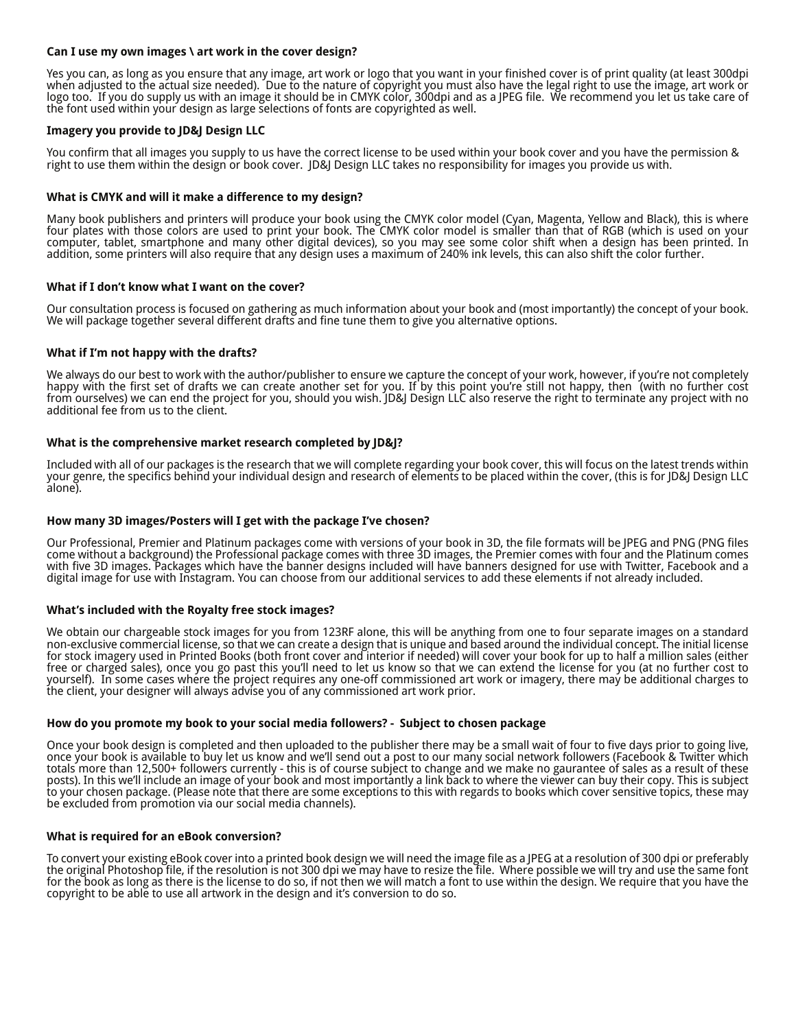# **Can I use my own images \ art work in the cover design?**

Yes you can, as long as you ensure that any image, art work or logo that you want in your finished cover is of print quality (at least 300dpi when adjusted to the actual size needed). Due to the nature of copyright you must also have the legal right to use the image, art work or logo too. If you do supply us with an image it should be in CMYK color, 300dpi and as a JPEG file. We recommend you let us take care of the font used within your design as large selections of fonts are copyrighted as well.

## **Imagery you provide to JD&J Design LLC**

You confirm that all images you supply to us have the correct license to be used within your book cover and you have the permission & right to use them within the design or book cover. JD&J Design LLC takes no responsibility for images you provide us with.

# **What is CMYK and will it make a difference to my design?**

Many book publishers and printers will produce your book using the CMYK color model (Cyan, Magenta, Yellow and Black), this is where four plates with those colors are used to print your book. The CMYK color model is smaller than that of RGB (which is used on your computer, tablet, smartphone and many other digital devices), so you may see some color shift when a design has been printed. In addition, some printers will also require that any design uses a maximum of 240% ink levels, this can also shift the color further.

## **What if I don't know what I want on the cover?**

Our consultation process is focused on gathering as much information about your book and (most importantly) the concept of your book. We will package together several different drafts and fine tune them to give you alternative options.

## **What if I'm not happy with the drafts?**

We always do our best to work with the author/publisher to ensure we capture the concept of your work, however, if you're not completely happy with the first set of drafts we can create another set for you. If by this point you're still not happy, then (with no further cost from ourselves) we can end the project for you, should you wish. JD&J Design LLC also reserve the right to terminate any project with no additional fee from us to the client.

## **What is the comprehensive market research completed by JD&J?**

Included with all of our packages is the research that we will complete regarding your book cover, this will focus on the latest trends within your genre, the specifics behind your individual design and research of elements to be placed within the cover, (this is for JD&J Design LLC alone).

## **How many 3D images/Posters will I get with the package I've chosen?**

Our Professional, Premier and Platinum packages come with versions of your book in 3D, the file formats will be JPEG and PNG (PNG files come without a background) the Professional package comes with three 3D images, the Premier comes with four and the Platinum comes with five 3D images. Packages which have the banner designs included will have banners designed for use with Twitter, Facebook and a digital image for use with Instagram. You can choose from our additional services to add these elements if not already included.

#### **What's included with the Royalty free stock images?**

We obtain our chargeable stock images for you from 123RF alone, this will be anything from one to four separate images on a standard non-exclusive commercial license, so that we can create a design that is unique and based around the individual concept. The initial license for stock imagery used in Printed Books (both front cover and interior if needed) will cover your book for up to half a million sales (either free or charged sales), once you go past this you'll need to let us know so that we can extend the license for you (at no further cost to yourself). In some cases where the project requires any one-off commissioned art work or imagery, there may be additional charges to the client, your designer will always advise you of any commissioned art work prior.

#### **How do you promote my book to your social media followers? - Subject to chosen package**

Once your book design is completed and then uploaded to the publisher there may be a small wait of four to five days prior to going live, once your book is available to buy let us know and we'll send out a post to our many social network followers (Facebook & Twitter which totals more than 12,500+ followers currently - this is of course subject to change and we make no gaurantee of sales as a result of these posts). In this we'll include an image of your book and most importantly a link back to where the viewer can buy their copy. This is subject to your chosen package. (Please note that there are some exceptions to this with regards to books which cover sensitive topics, these may be excluded from promotion via our social media channels).

#### **What is required for an eBook conversion?**

To convert your existing eBook cover into a printed book design we will need the image file as a JPEG at a resolution of 300 dpi or preferably the original Photoshop file, if the resolution is not 300 dpi we may have to resize the file. Where possible we will try and use the same font for the book as long as there is the license to do so, if not then we will match a font to use within the design. We require that you have the copyright to be able to use all artwork in the design and it's conversion to do so.